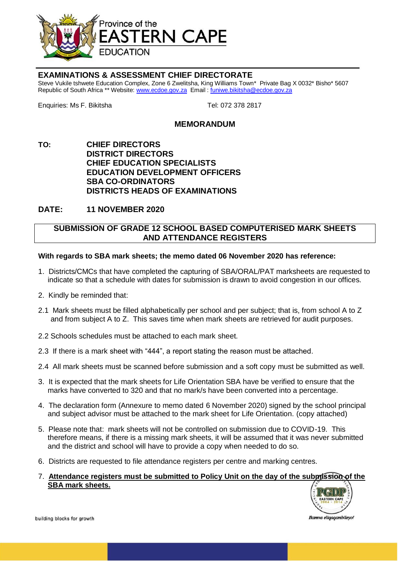

## **EXAMINATIONS & ASSESSMENT CHIEF DIRECTORATE**

Steve Vukile tshwete Education Complex, Zone 6 Zwelitsha, King Williams Town\* Private Bag X 0032\* Bisho\* 5607 Republic of South Africa \*\* Website[: www.ecdoe.gov.za](http://www.ecdoe.gov.za/) Email : [funiwe.bikitsha@ecdoe.gov.za](mailto:funiwe.bikitsha@ecdoe.gov.za)

Enquiries: Ms F. Bikitsha Tel: 072 378 2817

## **MEMORANDUM**

**TO: CHIEF DIRECTORS DISTRICT DIRECTORS CHIEF EDUCATION SPECIALISTS EDUCATION DEVELOPMENT OFFICERS SBA CO-ORDINATORS DISTRICTS HEADS OF EXAMINATIONS**

**DATE: 11 NOVEMBER 2020**

## **SUBMISSION OF GRADE 12 SCHOOL BASED COMPUTERISED MARK SHEETS AND ATTENDANCE REGISTERS**

## **With regards to SBA mark sheets; the memo dated 06 November 2020 has reference:**

- 1. Districts/CMCs that have completed the capturing of SBA/ORAL/PAT marksheets are requested to indicate so that a schedule with dates for submission is drawn to avoid congestion in our offices.
- 2. Kindly be reminded that:
- 2.1 Mark sheets must be filled alphabetically per school and per subject; that is, from school A to Z and from subject A to Z. This saves time when mark sheets are retrieved for audit purposes.
- 2.2 Schools schedules must be attached to each mark sheet.
- 2.3 If there is a mark sheet with "444", a report stating the reason must be attached.
- 2.4 All mark sheets must be scanned before submission and a soft copy must be submitted as well.
- 3. It is expected that the mark sheets for Life Orientation SBA have be verified to ensure that the marks have converted to 320 and that no mark/s have been converted into a percentage.
- 4. The declaration form (Annexure to memo dated 6 November 2020) signed by the school principal and subject advisor must be attached to the mark sheet for Life Orientation. (copy attached)
- 5. Please note that: mark sheets will not be controlled on submission due to COVID-19. This therefore means, if there is a missing mark sheets, it will be assumed that it was never submitted and the district and school will have to provide a copy when needed to do so.
- 6. Districts are requested to file attendance registers per centre and marking centres.
- 7. **Attendance registers must be submitted to Policy Unit on the day of the submission of the SBA mark sheets.**



building blocks for growth